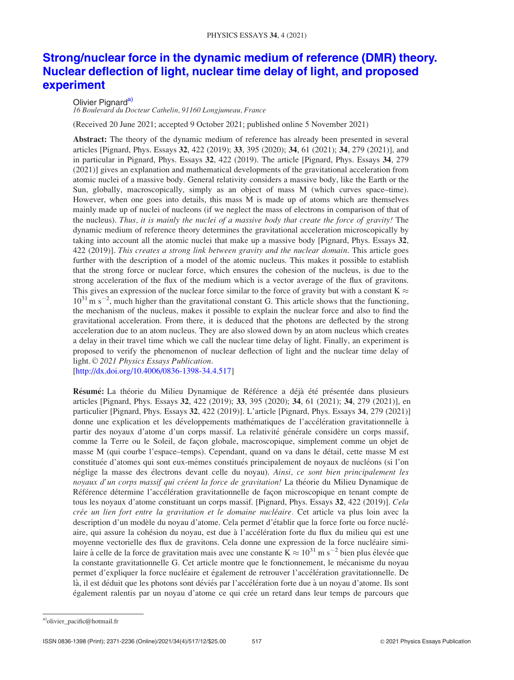# Strong/nuclear force in the dynamic medium of reference (DMR) theory. Nuclear deflection of light, nuclear time delay of light, and proposed experiment

# Olivier Pignard<sup>a)</sup>

16 Boulevard du Docteur Cathelin, 91160 Longjumeau, France

(Received 20 June 2021; accepted 9 October 2021; published online 5 November 2021)

Abstract: The theory of the dynamic medium of reference has already been presented in several articles [Pignard, Phys. Essays 32, 422 (2019); 33, 395 (2020); 34, 61 (2021); 34, 279 (2021)], and in particular in Pignard, Phys. Essays 32, 422 (2019). The article [Pignard, Phys. Essays 34, 279 (2021)] gives an explanation and mathematical developments of the gravitational acceleration from atomic nuclei of a massive body. General relativity considers a massive body, like the Earth or the Sun, globally, macroscopically, simply as an object of mass M (which curves space–time). However, when one goes into details, this mass M is made up of atoms which are themselves mainly made up of nuclei of nucleons (if we neglect the mass of electrons in comparison of that of the nucleus). Thus, it is mainly the nuclei of a massive body that create the force of gravity! The dynamic medium of reference theory determines the gravitational acceleration microscopically by taking into account all the atomic nuclei that make up a massive body [Pignard, Phys. Essays 32, 422 (2019)]. This creates a strong link between gravity and the nuclear domain. This article goes further with the description of a model of the atomic nucleus. This makes it possible to establish that the strong force or nuclear force, which ensures the cohesion of the nucleus, is due to the strong acceleration of the flux of the medium which is a vector average of the flux of gravitons. This gives an expression of the nuclear force similar to the force of gravity but with a constant K  $\approx$  $10^{31}$  m s<sup>-2</sup>, much higher than the gravitational constant G. This article shows that the functioning, the mechanism of the nucleus, makes it possible to explain the nuclear force and also to find the gravitational acceleration. From there, it is deduced that the photons are deflected by the strong acceleration due to an atom nucleus. They are also slowed down by an atom nucleus which creates a delay in their travel time which we call the nuclear time delay of light. Finally, an experiment is proposed to verify the phenomenon of nuclear deflection of light and the nuclear time delay of light. © 2021 Physics Essays Publication.

[http://dx.doi.org/10.4006/0836-1398-34.4.517]

Résumé: La théorie du Milieu Dynamique de Référence a déjà été présentée dans plusieurs articles [Pignard, Phys. Essays 32, 422 (2019); 33, 395 (2020); 34, 61 (2021); 34, 279 (2021)], en particulier [Pignard, Phys. Essays 32, 422 (2019)]. L'article [Pignard, Phys. Essays **34**, 279 (2021)] donne une explication et les développements mathématiques de l'accélération gravitationnelle à partir des noyaux d'atome d'un corps massif. La relativité générale considère un corps massif, comme la Terre ou le Soleil, de façon globale, macroscopique, simplement comme un objet de masse M (qui courbe l'espace–temps). Cependant, quand on va dans le détail, cette masse M est constituée d'atomes qui sont eux-mêmes constitués principalement de noyaux de nucléons (si l'on néglige la masse des électrons devant celle du noyau). Ainsi, ce sont bien principalement les noyaux d'un corps massif qui créent la force de gravitation! La théorie du Milieu Dynamique de Référence détermine l'accélération gravitationnelle de façon microscopique en tenant compte de tous les noyaux d'atome constituant un corps massif. [Pignard, Phys. Essays 32, 422 (2019)]. Cela crée un lien fort entre la gravitation et le domaine nucléaire. Cet article va plus loin avec la description d'un modèle du noyau d'atome. Cela permet d'établir que la force forte ou force nucléaire, qui assure la cohésion du noyau, est due à l'accélération forte du flux du milieu qui est une moyenne vectorielle des flux de gravitons. Cela donne une expression de la force nucléaire similaire à celle de la force de gravitation mais avec une constante  $\bar{K} \approx 10^{31}$  m s<sup>-2</sup> bien plus élevée que la constante gravitationnelle G. Cet article montre que le fonctionnement, le mécanisme du noyau permet d'expliquer la force nucléaire et également de retrouver l'accélération gravitationnelle. De là, il est déduit que les photons sont déviés par l'accélération forte due à un noyau d'atome. Ils sont également ralentis par un noyau d'atome ce qui crée un retard dans leur temps de parcours que

a)olivier\_pacific@hotmail.fr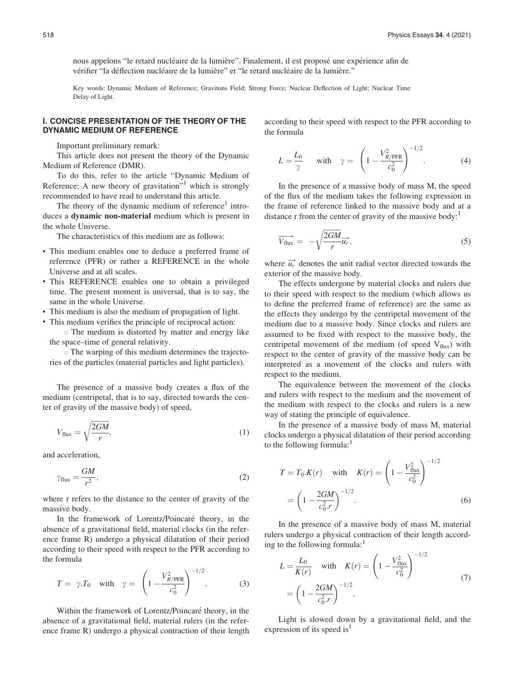nous appelons "le retard nucléaire de la lumière". Finalement, il est proposé une expérience afin de vérifier "la déflection nucléaire de la lumière" et "le retard nucléaire de la lumière."

Key words: Dynamic Medium of Reference; Gravitons Field; Strong Force; Nuclear Deflection of Light; Nuclear Time Delay of Light.

# I. CONCISE PRESENTATION OF THE THEORY OF THE DYNAMIC MEDIUM OF REFERENCE

Important preliminary remark:

This article does not present the theory of the Dynamic Medium of Reference (DMR).

To do this, refer to the article "Dynamic Medium of Reference: A new theory of gravitation"<sup>[1](#page-11-0)</sup> which is strongly recommended to have read to understand this article.

The theory of the dynamic medium of reference $\text{1}$  $\text{1}$  $\text{1}$  introduces a dynamic non-material medium which is present in the whole Universe.

The characteristics of this medium are as follows:

- This medium enables one to deduce a preferred frame of reference (PFR) or rather a REFERENCE in the whole Universe and at all scales.
- This REFERENCE enables one to obtain a privileged time. The present moment is universal, that is to say, the same in the whole Universe.
- This medium is also the medium of propagation of light.
- This medium verifies the principle of reciprocal action:
	- The medium is distorted by matter and energy like the space–time of general relativity.

- The warping of this medium determines the trajectories of the particles (material particles and light particles).

The presence of a massive body creates a flux of the medium (centripetal, that is to say, directed towards the center of gravity of the massive body) of speed,

$$
V_{\text{flux}} = \sqrt{\frac{2GM}{r}},\tag{1}
$$

and acceleration,

$$
\gamma_{\text{flux}} = \frac{GM}{r^2},\tag{2}
$$

where r refers to the distance to the center of gravity of the massive body.

In the framework of Lorentz/Poincaré theory, in the absence of a gravitational field, material clocks (in the reference frame R) undergo a physical dilatation of their period according to their speed with respect to the PFR according to the formula

$$
T = \gamma \cdot T_0 \quad \text{with} \quad \gamma = \left(1 - \frac{V_{R/\text{PFR}}^2}{c_0^2}\right)^{-1/2}.
$$
 (3)

Within the framework of Lorentz/Poincaré theory, in the absence of a gravitational field, material rulers (in the reference frame R) undergo a physical contraction of their length according to their speed with respect to the PFR according to the formula

$$
L = \frac{L_0}{\gamma} \quad \text{with} \quad \gamma = \left(1 - \frac{V_{R/\text{PFR}}^2}{c_0^2}\right)^{-1/2}.
$$
 (4)

In the presence of a massive body of mass M, the speed of the flux of the medium takes the following expression in the frame of reference linked to the massive body and at a distance r from the center of gravity of the massive body: $<sup>1</sup>$ </sup>

$$
\overrightarrow{V_{\text{flux}}} = -\sqrt{\frac{2GM}{r}} \overrightarrow{u_r}, \qquad (5)
$$

where  $\overrightarrow{u_r}$  denotes the unit radial vector directed towards the exterior of the massive body.

The effects undergone by material clocks and rulers due to their speed with respect to the medium (which allows us to define the preferred frame of reference) are the same as the effects they undergo by the centripetal movement of the medium due to a massive body. Since clocks and rulers are assumed to be fixed with respect to the massive body, the centripetal movement of the medium (of speed  $V_{flux}$ ) with respect to the center of gravity of the massive body can be interpreted as a movement of the clocks and rulers with respect to the medium.

The equivalence between the movement of the clocks and rulers with respect to the medium and the movement of the medium with respect to the clocks and rulers is a new way of stating the principle of equivalence.

In the presence of a massive body of mass M, material clocks undergo a physical dilatation of their period according to the following formula:<sup>1</sup>

$$
T = T_0.K(r) \quad \text{with} \quad K(r) = \left(1 - \frac{V_{\text{flux}}^2}{c_0^2}\right)^{-1/2}
$$

$$
= \left(1 - \frac{2GM}{c_0^2.r}\right)^{-1/2}.\tag{6}
$$

In the presence of a massive body of mass M, material rulers undergo a physical contraction of their length accord-ing to the following formula:<sup>[1](#page-11-0)</sup>

$$
L = \frac{L_0}{K(r)} \quad \text{with} \quad K(r) = \left(1 - \frac{V_{\text{flux}}^2}{c_0^2}\right)^{-1/2}
$$

$$
= \left(1 - \frac{2GM}{c_0^2 r}\right)^{-1/2}.
$$
 (7)

Light is slowed down by a gravitational field, and the expression of its speed is<sup>1</sup>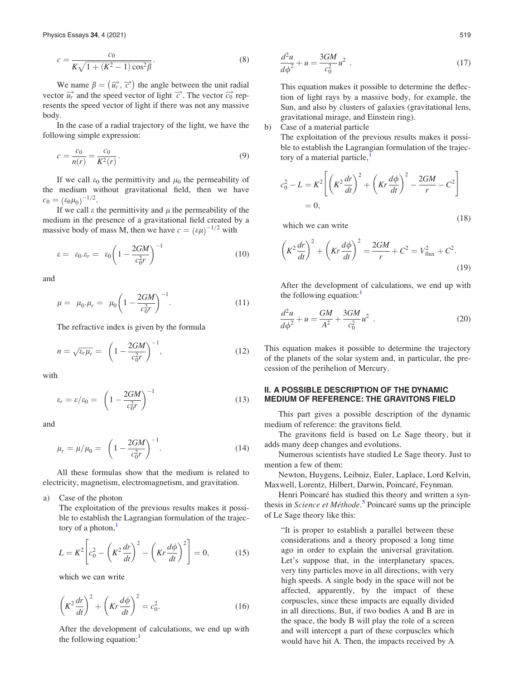$$
c = \frac{c_0}{K\sqrt{1 + (K^2 - 1)\cos^2\beta}}.
$$
\n(8)

We name  $\beta = (\overrightarrow{u_r}, \overrightarrow{c})$  the angle between the unit radial vector  $\overrightarrow{u_r}$  and the speed vector of light  $\overrightarrow{c}$ . The vector  $\overrightarrow{c_0}$  represents the speed vector of light if there was not any massive body.

In the case of a radial trajectory of the light, we have the following simple expression:

$$
c = \frac{c_0}{n(r)} = \frac{c_0}{K^2(r)}.
$$
\n(9)

If we call  $\varepsilon_0$  the permittivity and  $\mu_0$  the permeability of the medium without gravitational field, then we have  $c_0 = (\varepsilon_0 \mu_0)^{-1/2}.$ 

If we call  $\varepsilon$  the permittivity and  $\mu$  the permeability of the medium in the presence of a gravitational field created by a massive body of mass M, then we have  $c = (\varepsilon \mu)^{-1/2}$  with

$$
\varepsilon = \varepsilon_0 . \varepsilon_r = \varepsilon_0 \left( 1 - \frac{2GM}{c_0^2 r} \right)^{-1} \tag{10}
$$

and

$$
\mu = \mu_0.\mu_r = \mu_0 \left(1 - \frac{2GM}{c_0^2r}\right)^{-1}.\tag{11}
$$

The refractive index is given by the formula

$$
n = \sqrt{\varepsilon_r \mu_r} = \left(1 - \frac{2GM}{c_0^2 r}\right)^{-1},\tag{12}
$$

with

$$
\varepsilon_r = \varepsilon / \varepsilon_0 = \left( 1 - \frac{2GM}{c_0^2 r} \right)^{-1} \tag{13}
$$

and

$$
\mu_r = \mu/\mu_0 = \left(1 - \frac{2GM}{c_0^2 r}\right)^{-1}.\tag{14}
$$

All these formulas show that the medium is related to electricity, magnetism, electromagnetism, and gravitation.

a) Case of the photon

The exploitation of the previous results makes it possible to establish the Lagrangian formulation of the trajectory of a photon, $<sup>1</sup>$  $<sup>1</sup>$  $<sup>1</sup>$ </sup>

$$
L = K^2 \left[ c_0^2 - \left( K^2 \frac{dr}{dt} \right)^2 - \left( Kr \frac{d\phi}{dt} \right)^2 \right] = 0, \quad (15)
$$

which we can write

$$
\left(K^2\frac{dr}{dt}\right)^2 + \left(Kr\frac{d\phi}{dt}\right)^2 = c_0^2.
$$
 (16)

After the development of calculations, we end up with the following equation: $<sup>1</sup>$  $<sup>1</sup>$  $<sup>1</sup>$ </sup>

$$
\frac{d^2u}{d\phi^2} + u = \frac{3GM}{c_0^2}u^2
$$
 (17)

This equation makes it possible to determine the deflection of light rays by a massive body, for example, the Sun, and also by clusters of galaxies (gravitational lens, gravitational mirage, and Einstein ring).

b) Case of a material particle

The exploitation of the previous results makes it possible to establish the Lagrangian formulation of the trajec-tory of a material particle,<sup>[1](#page-11-0)</sup>

$$
c_0^2 - L = K^2 \left[ \left( K^2 \frac{dr}{dt} \right)^2 + \left( Kr \frac{d\phi}{dt} \right)^2 - \frac{2GM}{r} - C^2 \right]
$$
  
= 0, (18)

which we can write

$$
\left(K^2\frac{dr}{dt}\right)^2 + \left(Kr\frac{d\phi}{dt}\right)^2 = \frac{2GM}{r} + C^2 = V_{\text{flux}}^2 + C^2.
$$
\n(19)

After the development of calculations, we end up with the following equation: $\frac{1}{1}$  $\frac{1}{1}$  $\frac{1}{1}$ 

$$
\frac{d^2u}{d\phi^2} + u = \frac{GM}{A^2} + \frac{3GM}{c_0^2}u^2
$$
 (20)

This equation makes it possible to determine the trajectory of the planets of the solar system and, in particular, the precession of the perihelion of Mercury.

# II. A POSSIBLE DESCRIPTION OF THE DYNAMIC MEDIUM OF REFERENCE: THE GRAVITONS FIELD

This part gives a possible description of the dynamic medium of reference: the gravitons field.

The gravitons field is based on Le Sage theory, but it adds many deep changes and evolutions.

Numerous scientists have studied Le Sage theory. Just to mention a few of them:

Newton, Huygens, Leibniz, Euler, Laplace, Lord Kelvin, Maxwell, Lorentz, Hilbert, Darwin, Poincaré, Feynman.

Henri Poincaré has studied this theory and written a syn-thesis in Science et Méthode.<sup>[5](#page-11-0)</sup> Poincaré sums up the principle of Le Sage theory like this:

"It is proper to establish a parallel between these considerations and a theory proposed a long time ago in order to explain the universal gravitation. Let's suppose that, in the interplanetary spaces, very tiny particles move in all directions, with very high speeds. A single body in the space will not be affected, apparently, by the impact of these corpuscles, since these impacts are equally divided in all directions. But, if two bodies A and B are in the space, the body B will play the role of a screen and will intercept a part of these corpuscles which would have hit A. Then, the impacts received by A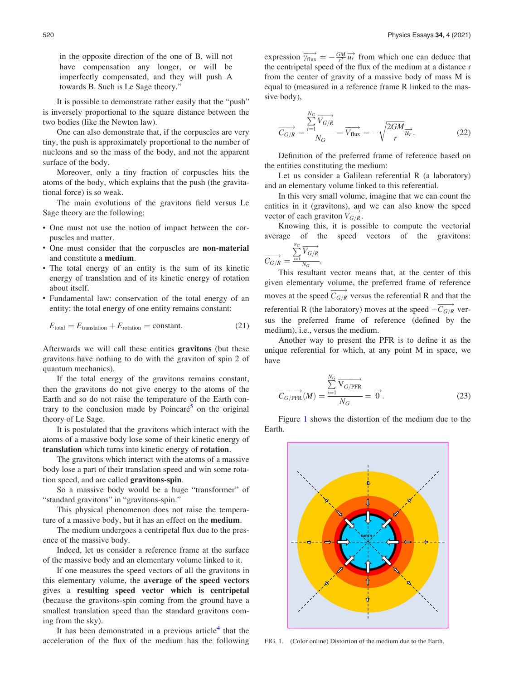in the opposite direction of the one of B, will not have compensation any longer, or will be imperfectly compensated, and they will push A towards B. Such is Le Sage theory."

It is possible to demonstrate rather easily that the "push" is inversely proportional to the square distance between the two bodies (like the Newton law).

One can also demonstrate that, if the corpuscles are very tiny, the push is approximately proportional to the number of nucleons and so the mass of the body, and not the apparent surface of the body.

Moreover, only a tiny fraction of corpuscles hits the atoms of the body, which explains that the push (the gravitational force) is so weak.

The main evolutions of the gravitons field versus Le Sage theory are the following:

- One must not use the notion of impact between the corpuscles and matter.
- One must consider that the corpuscles are non-material and constitute a medium.
- The total energy of an entity is the sum of its kinetic energy of translation and of its kinetic energy of rotation about itself.
- Fundamental law: conservation of the total energy of an entity: the total energy of one entity remains constant:

$$
E_{\text{total}} = E_{\text{translation}} + E_{\text{rotation}} = \text{constant.} \tag{21}
$$

Afterwards we will call these entities gravitons (but these gravitons have nothing to do with the graviton of spin 2 of quantum mechanics).

If the total energy of the gravitons remains constant, then the gravitons do not give energy to the atoms of the Earth and so do not raise the temperature of the Earth con-trary to the conclusion made by Poincaré<sup>[5](#page-11-0)</sup> on the original theory of Le Sage.

It is postulated that the gravitons which interact with the atoms of a massive body lose some of their kinetic energy of translation which turns into kinetic energy of rotation.

The gravitons which interact with the atoms of a massive body lose a part of their translation speed and win some rotation speed, and are called gravitons-spin.

So a massive body would be a huge "transformer" of "standard gravitons" in "gravitons-spin."

This physical phenomenon does not raise the temperature of a massive body, but it has an effect on the medium.

The medium undergoes a centripetal flux due to the presence of the massive body.

Indeed, let us consider a reference frame at the surface of the massive body and an elementary volume linked to it.

If one measures the speed vectors of all the gravitons in this elementary volume, the average of the speed vectors gives a resulting speed vector which is centripetal (because the gravitons-spin coming from the ground have a smallest translation speed than the standard gravitons coming from the sky).

It has been demonstrated in a previous article<sup>[4](#page-11-0)</sup> that the acceleration of the flux of the medium has the following

expression  $\overrightarrow{v_{\text{flux}}} = -\frac{GM}{r^2} \overrightarrow{u_r}$  from which one can deduce that the centripetal speed of the flux of the medium at a distance r from the center of gravity of a massive body of mass M is equal to (measured in a reference frame R linked to the massive body),

$$
\overrightarrow{C_{G/R}} = \frac{\sum_{i=1}^{N_G} \overrightarrow{V_{G/R}}}{N_G} = \overrightarrow{V_{\text{flux}}} = -\sqrt{\frac{2GM}{r}} \overrightarrow{u_r}.
$$
 (22)

Definition of the preferred frame of reference based on the entities constituting the medium:

Let us consider a Galilean referential R (a laboratory) and an elementary volume linked to this referential.

In this very small volume, imagine that we can count the entities in it (gravitons), and we can also know the speed vector of each graviton  $\overrightarrow{V_{G/R}}$ .

Knowing this, it is possible to compute the vectorial average of the speed vectors of the gravitons:

$$
\overrightarrow{C_{G/R}} = \frac{\sum_{i=1}^{N_G} \overrightarrow{V_{G/R}}}{\sum_{N_G}.
$$

This resultant vector means that, at the center of this given elementary volume, the preferred frame of reference moves at the speed  $\overrightarrow{C_{G/R}}$  versus the referential R and that the referential R (the laboratory) moves at the speed  $-\overrightarrow{C_{G/R}}$  versus the preferred frame of reference (defined by the medium), i.e., versus the medium.

Another way to present the PFR is to define it as the unique referential for which, at any point M in space, we have

$$
\overrightarrow{C_{G/PFR}}(M) = \frac{\sum_{i=1}^{N_G} \overrightarrow{V_{G/PFR}}}{N_G} = \overrightarrow{0}.
$$
 (23)

Figure 1 shows the distortion of the medium due to the Earth.



FIG. 1. (Color online) Distortion of the medium due to the Earth.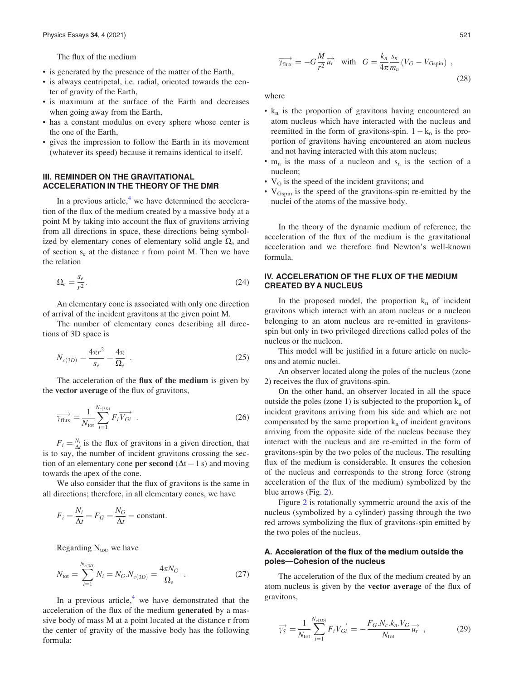<span id="page-4-0"></span>The flux of the medium

- is generated by the presence of the matter of the Earth,
- is always centripetal, i.e. radial, oriented towards the center of gravity of the Earth,
- is maximum at the surface of the Earth and decreases when going away from the Earth,
- has a constant modulus on every sphere whose center is the one of the Earth,
- gives the impression to follow the Earth in its movement (whatever its speed) because it remains identical to itself.

## III. REMINDER ON THE GRAVITATIONAL ACCELERATION IN THE THEORY OF THE DMR

In a previous article, $4$  we have determined the acceleration of the flux of the medium created by a massive body at a point M by taking into account the flux of gravitons arriving from all directions in space, these directions being symbolized by elementary cones of elementary solid angle  $\Omega_e$  and of section  $s_e$  at the distance r from point M. Then we have the relation

$$
\Omega_e = \frac{s_e}{r^2}.\tag{24}
$$

An elementary cone is associated with only one direction of arrival of the incident gravitons at the given point M.

The number of elementary cones describing all directions of 3D space is

$$
N_{c(3D)} = \frac{4\pi r^2}{s_e} = \frac{4\pi}{\Omega_e} \tag{25}
$$

The acceleration of the flux of the medium is given by the vector average of the flux of gravitons,

$$
\overrightarrow{\gamma_{\text{flux}}} = \frac{1}{N_{\text{tot}}} \sum_{i=1}^{N_{c(3D)}} F_i \overrightarrow{V_{Gi}} \quad . \tag{26}
$$

 $F_i = \frac{N_i}{\Delta t}$  is the flux of gravitons in a given direction, that is to say, the number of incident gravitons crossing the section of an elementary cone **per second** ( $\Delta t = 1$  s) and moving towards the apex of the cone.

We also consider that the flux of gravitons is the same in all directions; therefore, in all elementary cones, we have

$$
F_i = \frac{N_i}{\Delta t} = F_G = \frac{N_G}{\Delta t} = \text{constant}.
$$

Regarding  $N_{\text{tot}}$ , we have

$$
N_{\text{tot}} = \sum_{i=1}^{N_{c(3D)}} N_i = N_G.N_{c(3D)} = \frac{4\pi N_G}{\Omega_e} \quad . \tag{27}
$$

In a previous article, $<sup>4</sup>$  $<sup>4</sup>$  $<sup>4</sup>$  we have demonstrated that the</sup> acceleration of the flux of the medium generated by a massive body of mass M at a point located at the distance r from the center of gravity of the massive body has the following formula:

$$
\overrightarrow{\gamma_{\text{flux}}} = -G \frac{M}{r^2} \overrightarrow{u_r} \quad \text{with} \quad G = \frac{k_n}{4\pi} \frac{s_n}{m_n} (V_G - V_{\text{Gspin}}) \tag{28}
$$

where

- $\cdot$  k<sub>n</sub> is the proportion of gravitons having encountered an atom nucleus which have interacted with the nucleus and reemitted in the form of gravitons-spin.  $1 - k_n$  is the proportion of gravitons having encountered an atom nucleus and not having interacted with this atom nucleus;
- $m_n$  is the mass of a nucleon and  $s_n$  is the section of a nucleon;
- $V_G$  is the speed of the incident gravitons; and
- V<sub>Gspin</sub> is the speed of the gravitons-spin re-emitted by the nuclei of the atoms of the massive body.

In the theory of the dynamic medium of reference, the acceleration of the flux of the medium is the gravitational acceleration and we therefore find Newton's well-known formula.

# IV. ACCELERATION OF THE FLUX OF THE MEDIUM CREATED BY A NUCLEUS

In the proposed model, the proportion  $k_n$  of incident gravitons which interact with an atom nucleus or a nucleon belonging to an atom nucleus are re-emitted in gravitonsspin but only in two privileged directions called poles of the nucleus or the nucleon.

This model will be justified in a future article on nucleons and atomic nuclei.

An observer located along the poles of the nucleus (zone 2) receives the flux of gravitons-spin.

On the other hand, an observer located in all the space outside the poles (zone 1) is subjected to the proportion  $k_n$  of incident gravitons arriving from his side and which are not compensated by the same proportion  $k_n$  of incident gravitons arriving from the opposite side of the nucleus because they interact with the nucleus and are re-emitted in the form of gravitons-spin by the two poles of the nucleus. The resulting flux of the medium is considerable. It ensures the cohesion of the nucleus and corresponds to the strong force (strong acceleration of the flux of the medium) symbolized by the blue arrows (Fig. [2](#page-5-0)).

Figure [2](#page-5-0) is rotationally symmetric around the axis of the nucleus (symbolized by a cylinder) passing through the two red arrows symbolizing the flux of gravitons-spin emitted by the two poles of the nucleus.

# A. Acceleration of the flux of the medium outside the poles—Cohesion of the nucleus

The acceleration of the flux of the medium created by an atom nucleus is given by the vector average of the flux of gravitons,

$$
\overrightarrow{\gamma_S} = \frac{1}{N_{\text{tot}}} \sum_{i=1}^{N_{c(3D)}} F_i \overrightarrow{V_{Gi}} = -\frac{F_G.N_c.k_n.V_G}{N_{\text{tot}}} \overrightarrow{u_r} \quad , \tag{29}
$$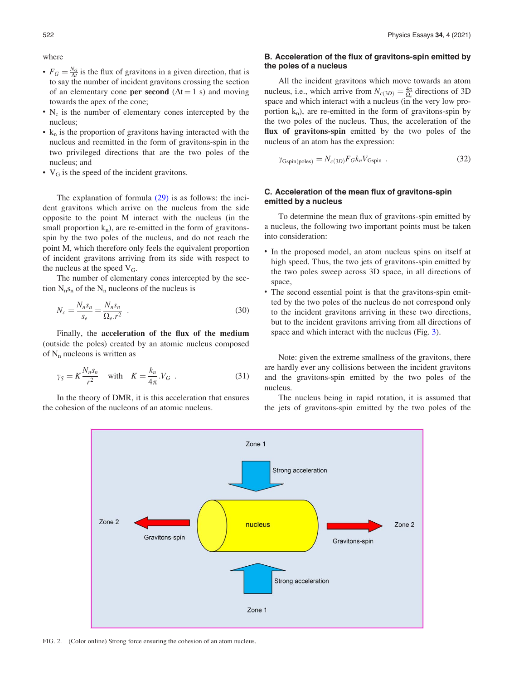<span id="page-5-0"></span>where

- $F_G = \frac{N_G}{\Delta t}$  is the flux of gravitons in a given direction, that is to say the number of incident gravitons crossing the section of an elementary cone **per second** ( $\Delta t = 1$  s) and moving towards the apex of the cone;
- $\cdot$  N<sub>c</sub> is the number of elementary cones intercepted by the nucleus;
- $\cdot$  k<sub>n</sub> is the proportion of gravitons having interacted with the nucleus and reemitted in the form of gravitons-spin in the two privileged directions that are the two poles of the nucleus; and
- $V_G$  is the speed of the incident gravitons.

The explanation of formula [\(29\)](#page-4-0) is as follows: the incident gravitons which arrive on the nucleus from the side opposite to the point M interact with the nucleus (in the small proportion  $k_n$ ), are re-emitted in the form of gravitonsspin by the two poles of the nucleus, and do not reach the point M, which therefore only feels the equivalent proportion of incident gravitons arriving from its side with respect to the nucleus at the speed  $V_G$ .

The number of elementary cones intercepted by the section  $N_n s_n$  of the  $N_n$  nucleons of the nucleus is

$$
N_c = \frac{N_n s_n}{s_e} = \frac{N_n s_n}{\Omega_e r^2} \tag{30}
$$

Finally, the acceleration of the flux of the medium (outside the poles) created by an atomic nucleus composed of  $N_n$  nucleons is written as

$$
\gamma_S = K \frac{N_n s_n}{r^2} \quad \text{with} \quad K = \frac{k_n}{4\pi} V_G \quad . \tag{31}
$$

In the theory of DMR, it is this acceleration that ensures the cohesion of the nucleons of an atomic nucleus.

## B. Acceleration of the flux of gravitons-spin emitted by the poles of a nucleus

All the incident gravitons which move towards an atom nucleus, i.e., which arrive from  $N_{c(3D)} = \frac{4\pi}{\Omega_e}$  directions of 3D space and which interact with a nucleus (in the very low proportion  $k_n$ ), are re-emitted in the form of gravitons-spin by the two poles of the nucleus. Thus, the acceleration of the flux of gravitons-spin emitted by the two poles of the nucleus of an atom has the expression:

$$
\gamma_{\text{Gspin(poles)}} = N_{c(3D)} F_G k_n V_{\text{Gspin}} \tag{32}
$$

# C. Acceleration of the mean flux of gravitons-spin emitted by a nucleus

To determine the mean flux of gravitons-spin emitted by a nucleus, the following two important points must be taken into consideration:

- In the proposed model, an atom nucleus spins on itself at high speed. Thus, the two jets of gravitons-spin emitted by the two poles sweep across 3D space, in all directions of space,
- The second essential point is that the gravitons-spin emitted by the two poles of the nucleus do not correspond only to the incident gravitons arriving in these two directions, but to the incident gravitons arriving from all directions of space and which interact with the nucleus (Fig. [3\)](#page-6-0).

Note: given the extreme smallness of the gravitons, there are hardly ever any collisions between the incident gravitons and the gravitons-spin emitted by the two poles of the nucleus.

The nucleus being in rapid rotation, it is assumed that the jets of gravitons-spin emitted by the two poles of the



FIG. 2. (Color online) Strong force ensuring the cohesion of an atom nucleus.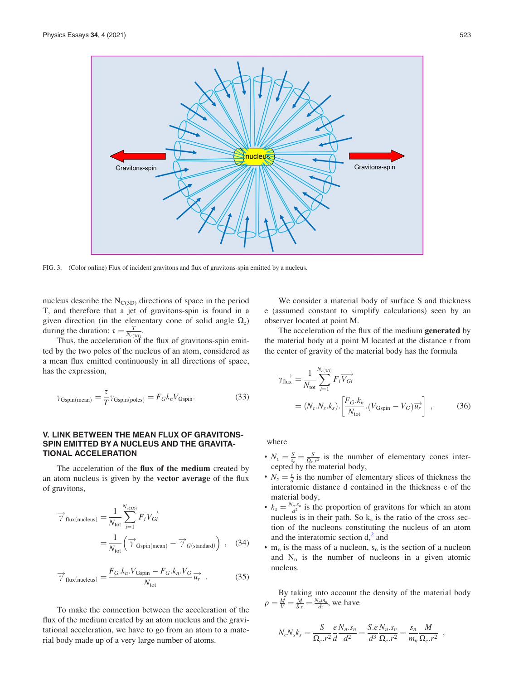<span id="page-6-0"></span>

FIG. 3. (Color online) Flux of incident gravitons and flux of gravitons-spin emitted by a nucleus.

nucleus describe the  $N_{C(3D)}$  directions of space in the period T, and therefore that a jet of gravitons-spin is found in a given direction (in the elementary cone of solid angle  $\Omega_e$ ) during the duration:  $\tau = \frac{T}{N_{c(3D)}}$ .

Thus, the acceleration of the flux of gravitons-spin emitted by the two poles of the nucleus of an atom, considered as a mean flux emitted continuously in all directions of space, has the expression,

$$
\gamma_{\text{Gspin(mean)}} = \frac{\tau}{T} \gamma_{\text{Gspin(poles)}} = F_G k_n V_{\text{Gspin}}.\tag{33}
$$

## V. LINK BETWEEN THE MEAN FLUX OF GRAVITONS-SPIN EMITTED BY A NUCLEUS AND THE GRAVITA-TIONAL ACCELERATION

The acceleration of the flux of the medium created by an atom nucleus is given by the vector average of the flux of gravitons,

$$
\overrightarrow{\gamma}_{\text{flux(nucleus)}} = \frac{1}{N_{\text{tot}}} \sum_{i=1}^{N_{c(3D)}} F_i \overrightarrow{V_{Gi}}
$$

$$
= \frac{1}{N_{\text{tot}}} \left( \overrightarrow{\gamma}_{\text{Gspin(mean)}} - \overrightarrow{\gamma}_{G(\text{standard})} \right) , \quad (34)
$$

$$
\overrightarrow{\gamma}_{\text{flux(nucleus)}} = \frac{F_G.k_n.V_{\text{Gspin}} - F_G.k_n.V_G}{N_{\text{tot}}} \overrightarrow{u_r} \tag{35}
$$

To make the connection between the acceleration of the flux of the medium created by an atom nucleus and the gravitational acceleration, we have to go from an atom to a material body made up of a very large number of atoms.

We consider a material body of surface S and thickness e (assumed constant to simplify calculations) seen by an observer located at point M.

The acceleration of the flux of the medium generated by the material body at a point M located at the distance r from the center of gravity of the material body has the formula

$$
\overrightarrow{\gamma_{\text{flux}}} = \frac{1}{N_{\text{tot}}} \sum_{i=1}^{N_{c(3D)}} F_i \overrightarrow{V_{Gi}}
$$
\n
$$
= (N_c.N_s.k_s) \cdot \left[ \frac{F_G.k_n}{N_{\text{tot}}} \cdot (V_{\text{Gspin}} - V_G) \overrightarrow{u_r} \right] , \qquad (36)
$$

where

- $N_c = \frac{S}{s_e} = \frac{S}{\Omega_e r^2}$  is the number of elementary cones intercepted by the material body,
- $N_s = \frac{e}{d}$  is the number of elementary slices of thickness the interatomic distance d contained in the thickness e of the material body,
- $k_s = \frac{N_n \cdot s_n}{d^2}$  is the proportion of gravitons for which an atom nucleus is in their path. So  $k<sub>s</sub>$  is the ratio of the cross section of the nucleons constituting the nucleus of an atom and the interatomic section  $d<sub>1</sub><sup>2</sup>$  $d<sub>1</sub><sup>2</sup>$  $d<sub>1</sub><sup>2</sup>$  and
- $m_n$  is the mass of a nucleon,  $s_n$  is the section of a nucleon and  $N_n$  is the number of nucleons in a given atomic nucleus.

By taking into account the density of the material body  $\rho = \frac{M}{V} = \frac{M}{S.e} = \frac{N_n m_n}{d^3}$ , we have

$$
N_c N_s k_s = \frac{S}{\Omega_e . r^2} \frac{e N_n . s_n}{d^2} = \frac{S.e N_n . s_n}{d^3 \Omega_e . r^2} = \frac{s_n}{m_n} \frac{M}{\Omega_e . r^2} ,
$$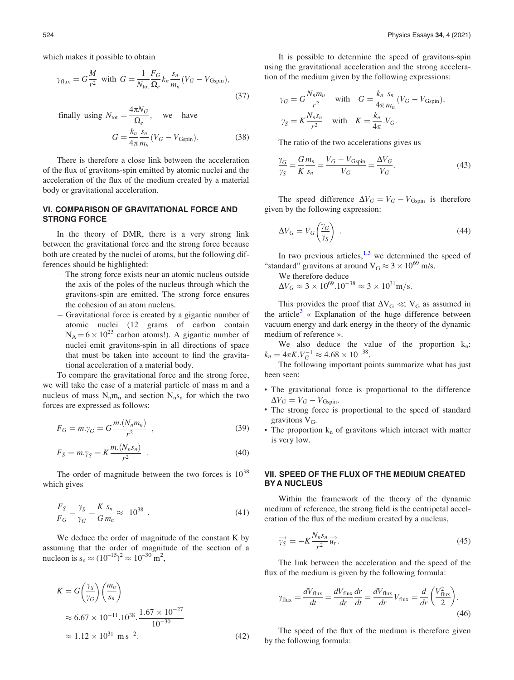which makes it possible to obtain

$$
\gamma_{\text{flux}} = G \frac{M}{r^2} \text{ with } G = \frac{1}{N_{\text{tot}}} \frac{F_G}{\Omega_e} k_n \frac{s_n}{m_n} (V_G - V_{\text{Gspin}}),
$$
\n(37)

Finally using 
$$
N_{\text{tot}} = \frac{4\pi N_G}{\Omega_e}
$$
, we have

\n
$$
G = \frac{k_n}{4\pi} \frac{s_n}{m_n} (V_G - V_{\text{Gspin}}).
$$
\n(38)

There is therefore a close link between the acceleration of the flux of gravitons-spin emitted by atomic nuclei and the acceleration of the flux of the medium created by a material body or gravitational acceleration.

## VI. COMPARISON OF GRAVITATIONAL FORCE AND STRONG FORCE

In the theory of DMR, there is a very strong link between the gravitational force and the strong force because both are created by the nuclei of atoms, but the following differences should be highlighted:

- The strong force exists near an atomic nucleus outside the axis of the poles of the nucleus through which the gravitons-spin are emitted. The strong force ensures the cohesion of an atom nucleus.
- Gravitational force is created by a gigantic number of atomic nuclei (12 grams of carbon contain  $N_A = 6 \times 10^{23}$  carbon atoms!). A gigantic number of nuclei emit gravitons-spin in all directions of space that must be taken into account to find the gravitational acceleration of a material body.

To compare the gravitational force and the strong force, we will take the case of a material particle of mass m and a nucleus of mass  $N_n m_n$  and section  $N_n s_n$  for which the two forces are expressed as follows:

$$
F_G = m.\gamma_G = G \frac{m.(N_n m_n)}{r^2} \tag{39}
$$

$$
F_S = m.\gamma_S = K \frac{m.(N_n s_n)}{r^2} \tag{40}
$$

The order of magnitude between the two forces is  $10^{38}$ which gives

$$
\frac{F_S}{F_G} = \frac{\gamma_S}{\gamma_G} = \frac{K}{G} \frac{s_n}{m_n} \approx 10^{38} \tag{41}
$$

We deduce the order of magnitude of the constant K by assuming that the order of magnitude of the section of a nucleon is  $s_n \approx (10^{-15})^2 \approx 10^{-30} \text{ m}^2$ ,

$$
K = G\left(\frac{\gamma_S}{\gamma_G}\right)\left(\frac{m_n}{s_n}\right)
$$
  
\n
$$
\approx 6.67 \times 10^{-11} . 10^{38} . \frac{1.67 \times 10^{-27}}{10^{-30}}
$$
  
\n
$$
\approx 1.12 \times 10^{31} \text{ m s}^{-2}.
$$
 (42)

It is possible to determine the speed of gravitons-spin using the gravitational acceleration and the strong acceleration of the medium given by the following expressions:

$$
\gamma_G = G \frac{N_n m_n}{r^2} \quad \text{with} \quad G = \frac{k_n}{4\pi} \frac{s_n}{m_n} (V_G - V_{\text{Gspin}}),
$$
  

$$
\gamma_S = K \frac{N_n s_n}{r^2} \quad \text{with} \quad K = \frac{k_n}{4\pi} V_G.
$$

The ratio of the two accelerations gives us

$$
\frac{\gamma_G}{\gamma_S} = \frac{G m_n}{K s_n} = \frac{V_G - V_{\text{Gspin}}}{V_G} = \frac{\Delta V_G}{V_G}.
$$
\n(43)

The speed difference  $\Delta V_G = V_G - V_{Gspin}$  is therefore given by the following expression:

$$
\Delta V_G = V_G \left(\frac{\gamma_G}{\gamma_S}\right) \tag{44}
$$

In two previous articles,  $1,3$  we determined the speed of "standard" gravitons at around  $V_G \approx 3 \times 10^{69}$  m/s.

We therefore deduce

$$
\Delta V_G \approx 3 \times 10^{69} . 10^{-38} \approx 3 \times 10^{31} \text{m/s}.
$$

This provides the proof that  $\Delta V_G \ll V_G$  as assumed in the article<sup>[3](#page-11-0)</sup> « Explanation of the huge difference between vacuum energy and dark energy in the theory of the dynamic medium of reference ».

We also deduce the value of the proportion  $k_n$ :  $k_n = 4\pi K.V_G^{-1} \approx 4.68 \times 10^{-38}.$ 

The following important points summarize what has just been seen:

- The gravitational force is proportional to the difference  $\Delta V_G = V_G - V_{\text{Gspin}}.$
- The strong force is proportional to the speed of standard gravitons  $V_G$ .
- The proportion  $k_n$  of gravitons which interact with matter is very low.

# VII. SPEED OF THE FLUX OF THE MEDIUM CREATED BY A NUCLEUS

Within the framework of the theory of the dynamic medium of reference, the strong field is the centripetal acceleration of the flux of the medium created by a nucleus,

$$
\overrightarrow{\gamma_S} = -K \frac{N_n s_n}{r^2} \overrightarrow{u_r}.
$$
\n(45)

The link between the acceleration and the speed of the flux of the medium is given by the following formula:

$$
\gamma_{\text{flux}} = \frac{dV_{\text{flux}}}{dt} = \frac{dV_{\text{flux}}}{dr}\frac{dr}{dt} = \frac{dV_{\text{flux}}}{dr}V_{\text{flux}} = \frac{d}{dr}\left(\frac{V_{\text{flux}}^2}{2}\right). \tag{46}
$$

The speed of the flux of the medium is therefore given by the following formula: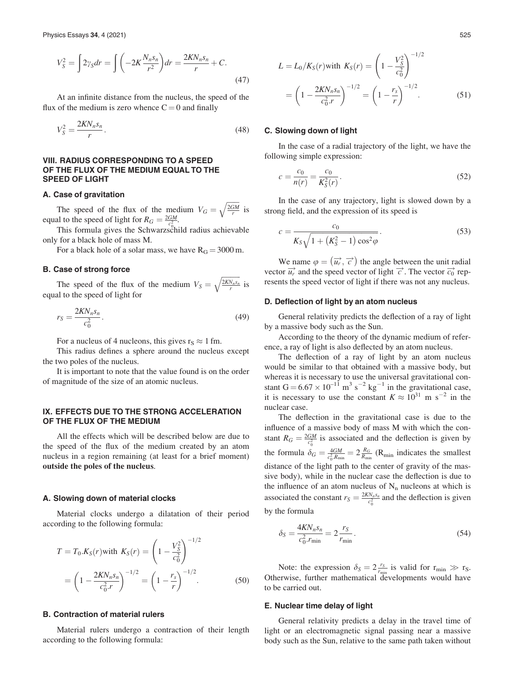$$
V_S^2 = \int 2\gamma_S dr = \int \left( -2K \frac{N_n s_n}{r^2} \right) dr = \frac{2KN_n s_n}{r} + C. \tag{47}
$$

At an infinite distance from the nucleus, the speed of the flux of the medium is zero whence  $C = 0$  and finally

$$
V_S^2 = \frac{2KN_n s_n}{r}.\tag{48}
$$

# VIII. RADIUS CORRESPONDING TO A SPEED OF THE FLUX OF THE MEDIUM EQUAL TO THE SPEED OF LIGHT

#### A. Case of gravitation

The speed of the flux of the medium  $V_G =$  $\frac{2GM}{r}$  $\overline{\phantom{a}}$ is equal to the speed of light for  $R_G = \frac{2GM}{c_0^2}$ .

This formula gives the Schwarzschild radius achievable only for a black hole of mass M.

For a black hole of a solar mass, we have  $R_G = 3000$  m.

#### B. Case of strong force

The speed of the flux of the medium  $V_S$  =  $\frac{2KN_n s_n}{r}$  $\overline{\phantom{a}}$ is equal to the speed of light for

$$
r_S = \frac{2KN_n s_n}{c_0^2}.
$$
\n(49)

For a nucleus of 4 nucleons, this gives  $r_S \approx 1$  fm.

This radius defines a sphere around the nucleus except the two poles of the nucleus.

It is important to note that the value found is on the order of magnitude of the size of an atomic nucleus.

# IX. EFFECTS DUE TO THE STRONG ACCELERATION OF THE FLUX OF THE MEDIUM

All the effects which will be described below are due to the speed of the flux of the medium created by an atom nucleus in a region remaining (at least for a brief moment) outside the poles of the nucleus.

#### A. Slowing down of material clocks

Material clocks undergo a dilatation of their period according to the following formula:

$$
T = T_0.K_S(r)\text{with } K_S(r) = \left(1 - \frac{V_S^2}{c_0^2}\right)^{-1/2}
$$

$$
= \left(1 - \frac{2KN_n s_n}{c_0^2 r}\right)^{-1/2} = \left(1 - \frac{r_s}{r}\right)^{-1/2}.
$$
(50)

#### B. Contraction of material rulers

Material rulers undergo a contraction of their length according to the following formula:

$$
L = L_0/K_S(r)
$$
 with  $K_S(r) = \left(1 - \frac{V_S^2}{c_0^2}\right)^{-1/2}$   
=  $\left(1 - \frac{2KN_n s_n}{c_0^2 r}\right)^{-1/2} = \left(1 - \frac{r_s}{r}\right)^{-1/2}$ . (51)

## C. Slowing down of light

In the case of a radial trajectory of the light, we have the following simple expression:

$$
c = \frac{c_0}{n(r)} = \frac{c_0}{K_S^2(r)}.
$$
\n(52)

In the case of any trajectory, light is slowed down by a strong field, and the expression of its speed is

$$
c = \frac{c_0}{K_S \sqrt{1 + (K_S^2 - 1) \cos^2 \varphi}}.
$$
\n(53)

We name  $\varphi = (\vec{u_r}, \vec{c})$  the angle between the unit radial vector  $\overrightarrow{u_r}$  and the speed vector of light  $\overrightarrow{c}$ . The vector  $\overrightarrow{c_0}$  represents the speed vector of light if there was not any nucleus.

## D. Deflection of light by an atom nucleus

General relativity predicts the deflection of a ray of light by a massive body such as the Sun.

According to the theory of the dynamic medium of reference, a ray of light is also deflected by an atom nucleus.

The deflection of a ray of light by an atom nucleus would be similar to that obtained with a massive body, but whereas it is necessary to use the universal gravitational constant  $G = 6.67 \times 10^{-11}$  m<sup>3</sup> s<sup>-2</sup> kg<sup>-1</sup> in the gravitational case, it is necessary to use the constant  $K \approx 10^{31}$  m s<sup>-2</sup> in the nuclear case.

The deflection in the gravitational case is due to the influence of a massive body of mass M with which the constant  $R_G = \frac{2GM}{c_0^2}$  is associated and the deflection is given by the formula  $\delta_G = \frac{4GM}{c_0^2 R_{\text{min}}} = 2 \frac{R_G}{R_{\text{min}}}$  (R<sub>min</sub> indicates the smallest distance of the light path to the center of gravity of the massive body), while in the nuclear case the deflection is due to the influence of an atom nucleus of  $N_n$  nucleons at which is associated the constant  $r_S = \frac{2KN_n s_n}{c_0^2}$  and the deflection is given by the formula

 $\delta_S = \frac{4KN_n s_n}{c_0^2 \cdot r_{\text{min}}} = 2 \frac{r_S}{r_{\text{min}}}$  $r_{\min}$  $(54)$ 

Note: the expression  $\delta_S = 2 \frac{r_S}{r_{\min}}$  is valid for  $r_{\min} \gg r_S$ . Otherwise, further mathematical developments would have to be carried out.

#### E. Nuclear time delay of light

General relativity predicts a delay in the travel time of light or an electromagnetic signal passing near a massive body such as the Sun, relative to the same path taken without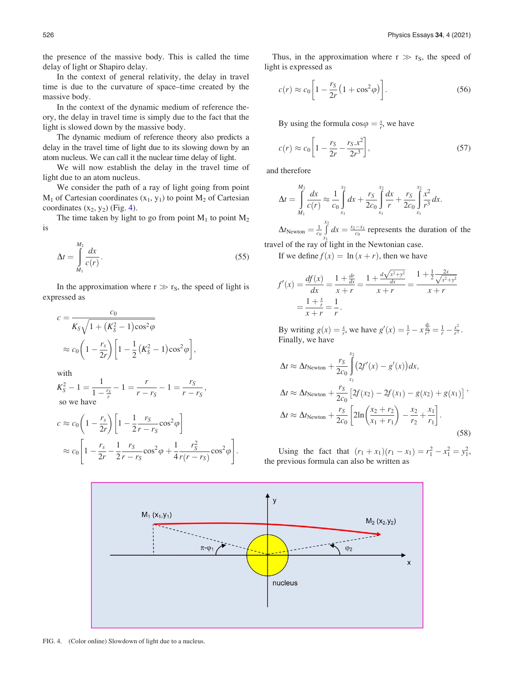the presence of the massive body. This is called the time delay of light or Shapiro delay.

In the context of general relativity, the delay in travel time is due to the curvature of space–time created by the massive body.

In the context of the dynamic medium of reference theory, the delay in travel time is simply due to the fact that the light is slowed down by the massive body.

The dynamic medium of reference theory also predicts a delay in the travel time of light due to its slowing down by an atom nucleus. We can call it the nuclear time delay of light.

We will now establish the delay in the travel time of light due to an atom nucleus.

We consider the path of a ray of light going from point  $M_1$  of Cartesian coordinates  $(x_1, y_1)$  to point  $M_2$  of Cartesian coordinates  $(x_2, y_2)$  (Fig. 4).

The time taken by light to go from point  $M_1$  to point  $M_2$ is

$$
\Delta t = \int_{M_1}^{M_2} \frac{dx}{c(r)}.
$$
\n(55)

In the approximation where  $r \gg r_S$ , the speed of light is expressed as

$$
c = \frac{c_0}{K_S \sqrt{1 + (K_S^2 - 1)\cos^2 \varphi}}
$$
  
 
$$
\approx c_0 \left(1 - \frac{r_s}{2r}\right) \left[1 - \frac{1}{2}(K_S^2 - 1)\cos^2 \varphi\right],
$$

with

$$
K_S^2 - 1 = \frac{1}{1 - \frac{r_S}{r}} - 1 = \frac{r}{r - r_S} - 1 = \frac{r_S}{r - r_S},
$$
  
so we have

$$
c \approx c_0 \left( 1 - \frac{r_s}{2r} \right) \left[ 1 - \frac{1}{2r} \frac{r_S}{r - r_S} \cos^2 \varphi \right]
$$
  

$$
\approx c_0 \left[ 1 - \frac{r_s}{2r} - \frac{1}{2} \frac{r_S}{r - r_S} \cos^2 \varphi + \frac{1}{4} \frac{r_S^2}{r(r - r_S)} \cos^2 \varphi \right].
$$

Thus, in the approximation where  $r \gg r_S$ , the speed of light is expressed as

$$
c(r) \approx c_0 \left[ 1 - \frac{r_S}{2r} \left( 1 + \cos^2 \varphi \right) \right].
$$
 (56)

By using the formula  $\cos \varphi = \frac{x}{r}$ , we have

$$
c(r) \approx c_0 \left[ 1 - \frac{r_S}{2r} - \frac{r_S \cdot x^2}{2r^3} \right],
$$
 (57)

and therefore

$$
\Delta t = \int_{M_1}^{M_2} \frac{dx}{c(r)} \approx \frac{1}{c_0} \int_{x_1}^{x_2} dx + \frac{r_S}{2c_0} \int_{x_1}^{x_2} \frac{dx}{r} + \frac{r_S}{2c_0} \int_{x_1}^{x_2} \frac{x^2}{r^3} dx.
$$

 $\Delta t_{\text{Newton}} = \frac{1}{c_0}$  $\frac{x_2}{6}$  $x_1$  $dx = \frac{x_2 - x_1}{c_0}$  represents the duration of the travel of the ray of light in the Newtonian case.

If we define  $f(x) = \ln(x + r)$ , then we have

$$
f'(x) = \frac{df(x)}{dx} = \frac{1 + \frac{dr}{dx}}{x + r} = \frac{1 + \frac{d\sqrt{x^2 + y^2}}{dx}}{x + r} = \frac{1 + \frac{1}{2}\frac{2x}{\sqrt{x^2 + y^2}}}{x + r} = \frac{1 + \frac{x}{r}}{x + r}.
$$

By writing  $g(x) = \frac{x}{r}$ , we have  $g'(x) = \frac{1}{r} - x \frac{dx}{r^2} = \frac{1}{r} - \frac{x^2}{r^3}$ . Finally, we have

$$
\Delta t \approx \Delta t_{\text{Newton}} + \frac{r_S}{2c_0} \int_{x_1}^{x_2} (2f'(x) - g'(x)) dx,
$$
  
\n
$$
\Delta t \approx \Delta t_{\text{Newton}} + \frac{r_S}{2c_0} [2f(x_2) - 2f(x_1) - g(x_2) + g(x_1)] ,
$$
  
\n
$$
\Delta t \approx \Delta t_{\text{Newton}} + \frac{r_S}{2c_0} \left[ 2\ln\left(\frac{x_2 + r_2}{x_1 + r_1}\right) - \frac{x_2}{r_2} + \frac{x_1}{r_1} \right].
$$
\n(58)

Using the fact that  $(r_1 + x_1)(r_1 - x_1) = r_1^2 - x_1^2 = y_1^2$ , the previous formula can also be written as



FIG. 4. (Color online) Slowdown of light due to a nucleus.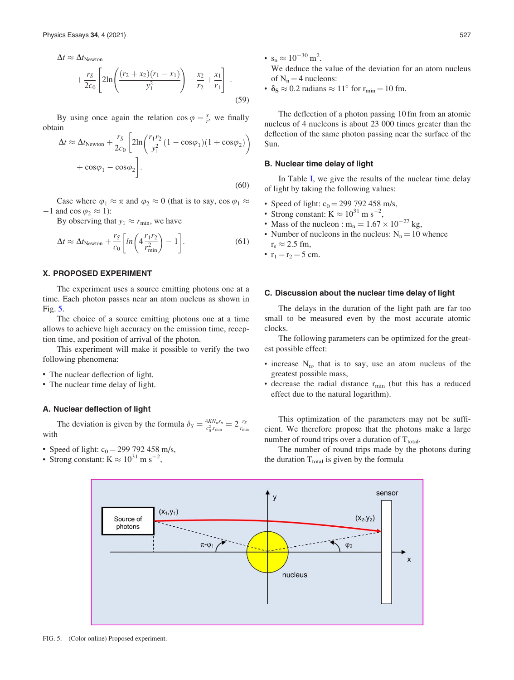$$
\Delta t \approx \Delta t_{\text{Newton}} + \frac{r_S}{2c_0} \left[ 2\ln\left(\frac{(r_2 + x_2)(r_1 - x_1)}{y_1^2}\right) - \frac{x_2}{r_2} + \frac{x_1}{r_1} \right] \tag{59}
$$

By using once again the relation  $\cos \varphi = \frac{x}{r}$ , we finally obtain  $\overline{r}$ 

$$
\Delta t \approx \Delta t_{\text{Newton}} + \frac{r_S}{2c_0} \left[ 2\ln\left(\frac{r_1 r_2}{y_1^2} (1 - \cos\varphi_1)(1 + \cos\varphi_2)\right) + \cos\varphi_1 - \cos\varphi_2 \right].
$$
\n(60)

Case where  $\varphi_1 \approx \pi$  and  $\varphi_2 \approx 0$  (that is to say, cos  $\varphi_1 \approx$  $-1$  and cos  $\varphi_2 \approx 1$ :

By observing that  $y_1 \approx r_{\text{min}}$ , we have

$$
\Delta t \approx \Delta t_{\text{Newton}} + \frac{r_S}{c_0} \left[ \ln \left( 4 \frac{r_1 r_2}{r_{\text{min}}^2} \right) - 1 \right]. \tag{61}
$$

## X. PROPOSED EXPERIMENT

The experiment uses a source emitting photons one at a time. Each photon passes near an atom nucleus as shown in Fig. 5.

The choice of a source emitting photons one at a time allows to achieve high accuracy on the emission time, reception time, and position of arrival of the photon.

This experiment will make it possible to verify the two following phenomena:

- The nuclear deflection of light.
- The nuclear time delay of light.

## A. Nuclear deflection of light

The deviation is given by the formula  $\delta_S = \frac{4KN_n s_n}{c_0^2 J_{\text{min}}} = 2 \frac{r_S}{r_{\text{min}}}$ with

- Speed of light:  $c_0 = 299\,792\,458\,m/s$ ,
- Strong constant:  $K \approx 10^{31}$  m s<sup>-2</sup>,

•  $s_n \approx 10^{-30}$  m<sup>2</sup>.

We deduce the value of the deviation for an atom nucleus of  $N_n = 4$  nucleons:

•  $\delta_{\rm S} \approx 0.2$  radians  $\approx 11^{\circ}$  for  $r_{\rm min} = 10$  fm.

The deflection of a photon passing 10 fm from an atomic nucleus of 4 nucleons is about 23 000 times greater than the deflection of the same photon passing near the surface of the Sun.

## B. Nuclear time delay of light

In Table [I,](#page-11-0) we give the results of the nuclear time delay of light by taking the following values:

- Speed of light:  $c_0 = 299\,792\,458\,m/s$ ,
- Strong constant:  $K \approx 10^{31}$  m s<sup>-2</sup>,
- Mass of the nucleon :  $m_n = 1.67 \times 10^{-27}$  kg,
- Number of nucleons in the nucleus:  $N_n = 10$  whence  $r_s \approx 2.5$  fm,
- $r_1 = r_2 = 5$  cm.

## C. Discussion about the nuclear time delay of light

The delays in the duration of the light path are far too small to be measured even by the most accurate atomic clocks.

The following parameters can be optimized for the greatest possible effect:

- increase  $N_n$ , that is to say, use an atom nucleus of the greatest possible mass,
- decrease the radial distance  $r_{\text{min}}$  (but this has a reduced effect due to the natural logarithm).

This optimization of the parameters may not be sufficient. We therefore propose that the photons make a large number of round trips over a duration of  $T_{total}$ .

The number of round trips made by the photons during the duration  $T_{total}$  is given by the formula